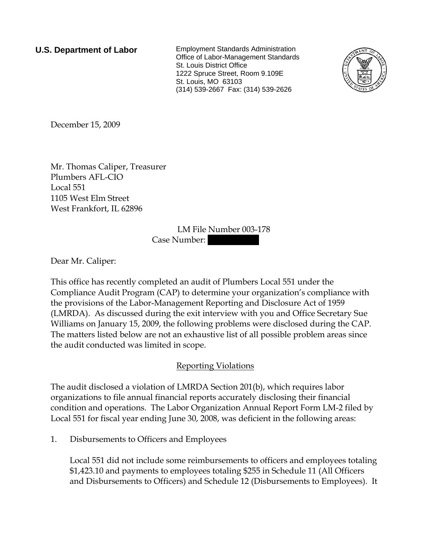**U.S. Department of Labor** Employment Standards Administration Office of Labor-Management Standards St. Louis District Office 1222 Spruce Street, Room 9.109E St. Louis, MO 63103 (314) 539-2667 Fax: (314) 539-2626



December 15, 2009

Mr. Thomas Caliper, Treasurer Plumbers AFL-CIO Local 551 1105 West Elm Street West Frankfort, IL 62896

> LM File Number 003-178 Case Number:

Dear Mr. Caliper:

This office has recently completed an audit of Plumbers Local 551 under the Compliance Audit Program (CAP) to determine your organization's compliance with the provisions of the Labor-Management Reporting and Disclosure Act of 1959 (LMRDA). As discussed during the exit interview with you and Office Secretary Sue Williams on January 15, 2009, the following problems were disclosed during the CAP. The matters listed below are not an exhaustive list of all possible problem areas since the audit conducted was limited in scope.

## Reporting Violations

The audit disclosed a violation of LMRDA Section 201(b), which requires labor organizations to file annual financial reports accurately disclosing their financial condition and operations. The Labor Organization Annual Report Form LM-2 filed by Local 551 for fiscal year ending June 30, 2008, was deficient in the following areas:

1. Disbursements to Officers and Employees

Local 551 did not include some reimbursements to officers and employees totaling \$1,423.10 and payments to employees totaling \$255 in Schedule 11 (All Officers and Disbursements to Officers) and Schedule 12 (Disbursements to Employees). It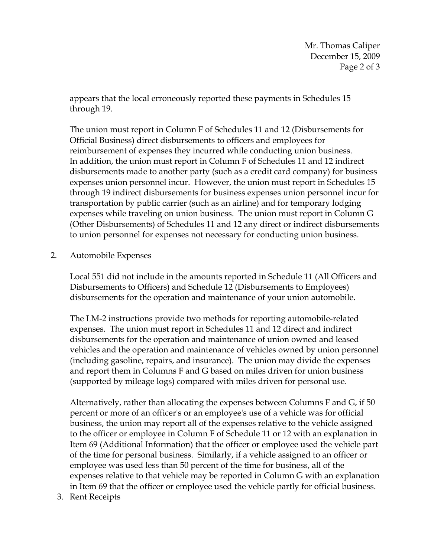Mr. Thomas Caliper December 15, 2009 Page 2 of 3

appears that the local erroneously reported these payments in Schedules 15 through 19.

The union must report in Column F of Schedules 11 and 12 (Disbursements for Official Business) direct disbursements to officers and employees for reimbursement of expenses they incurred while conducting union business. In addition, the union must report in Column F of Schedules 11 and 12 indirect disbursements made to another party (such as a credit card company) for business expenses union personnel incur. However, the union must report in Schedules 15 through 19 indirect disbursements for business expenses union personnel incur for transportation by public carrier (such as an airline) and for temporary lodging expenses while traveling on union business. The union must report in Column G (Other Disbursements) of Schedules 11 and 12 any direct or indirect disbursements to union personnel for expenses not necessary for conducting union business.

2. Automobile Expenses

Local 551 did not include in the amounts reported in Schedule 11 (All Officers and Disbursements to Officers) and Schedule 12 (Disbursements to Employees) disbursements for the operation and maintenance of your union automobile.

The LM-2 instructions provide two methods for reporting automobile-related expenses. The union must report in Schedules 11 and 12 direct and indirect disbursements for the operation and maintenance of union owned and leased vehicles and the operation and maintenance of vehicles owned by union personnel (including gasoline, repairs, and insurance). The union may divide the expenses and report them in Columns F and G based on miles driven for union business (supported by mileage logs) compared with miles driven for personal use.

Alternatively, rather than allocating the expenses between Columns F and G, if 50 percent or more of an officer's or an employee's use of a vehicle was for official business, the union may report all of the expenses relative to the vehicle assigned to the officer or employee in Column F of Schedule 11 or 12 with an explanation in Item 69 (Additional Information) that the officer or employee used the vehicle part of the time for personal business. Similarly, if a vehicle assigned to an officer or employee was used less than 50 percent of the time for business, all of the expenses relative to that vehicle may be reported in Column G with an explanation in Item 69 that the officer or employee used the vehicle partly for official business.

3. Rent Receipts